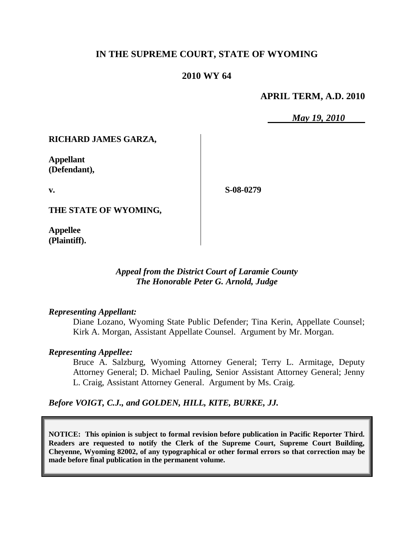## **IN THE SUPREME COURT, STATE OF WYOMING**

## **2010 WY 64**

## **APRIL TERM, A.D. 2010**

*May 19, 2010*

## **RICHARD JAMES GARZA,**

**Appellant (Defendant),**

**v.**

**S-08-0279**

**THE STATE OF WYOMING,**

**Appellee (Plaintiff).**

> *Appeal from the District Court of Laramie County The Honorable Peter G. Arnold, Judge*

#### *Representing Appellant:*

Diane Lozano, Wyoming State Public Defender; Tina Kerin, Appellate Counsel; Kirk A. Morgan, Assistant Appellate Counsel. Argument by Mr. Morgan.

## *Representing Appellee:*

Bruce A. Salzburg, Wyoming Attorney General; Terry L. Armitage, Deputy Attorney General; D. Michael Pauling, Senior Assistant Attorney General; Jenny L. Craig, Assistant Attorney General. Argument by Ms. Craig.

*Before VOIGT, C.J., and GOLDEN, HILL, KITE, BURKE, JJ.*

**NOTICE: This opinion is subject to formal revision before publication in Pacific Reporter Third. Readers are requested to notify the Clerk of the Supreme Court, Supreme Court Building, Cheyenne, Wyoming 82002, of any typographical or other formal errors so that correction may be made before final publication in the permanent volume.**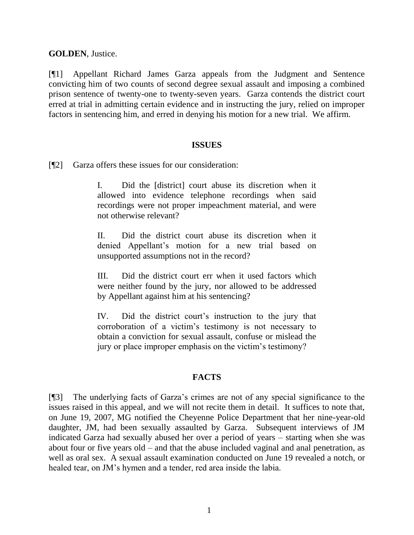**GOLDEN**, Justice.

[¶1] Appellant Richard James Garza appeals from the Judgment and Sentence convicting him of two counts of second degree sexual assault and imposing a combined prison sentence of twenty-one to twenty-seven years. Garza contends the district court erred at trial in admitting certain evidence and in instructing the jury, relied on improper factors in sentencing him, and erred in denying his motion for a new trial. We affirm.

## **ISSUES**

[¶2] Garza offers these issues for our consideration:

I. Did the [district] court abuse its discretion when it allowed into evidence telephone recordings when said recordings were not proper impeachment material, and were not otherwise relevant?

II. Did the district court abuse its discretion when it denied Appellant"s motion for a new trial based on unsupported assumptions not in the record?

III. Did the district court err when it used factors which were neither found by the jury, nor allowed to be addressed by Appellant against him at his sentencing?

IV. Did the district court"s instruction to the jury that corroboration of a victim"s testimony is not necessary to obtain a conviction for sexual assault, confuse or mislead the jury or place improper emphasis on the victim's testimony?

## **FACTS**

[¶3] The underlying facts of Garza"s crimes are not of any special significance to the issues raised in this appeal, and we will not recite them in detail. It suffices to note that, on June 19, 2007, MG notified the Cheyenne Police Department that her nine-year-old daughter, JM, had been sexually assaulted by Garza. Subsequent interviews of JM indicated Garza had sexually abused her over a period of years – starting when she was about four or five years old – and that the abuse included vaginal and anal penetration, as well as oral sex. A sexual assault examination conducted on June 19 revealed a notch, or healed tear, on JM"s hymen and a tender, red area inside the labia.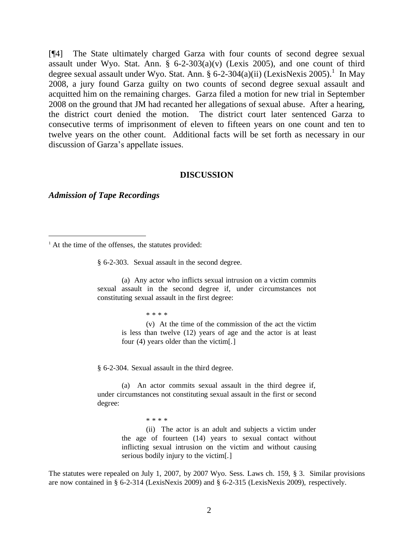[¶4] The State ultimately charged Garza with four counts of second degree sexual assault under Wyo. Stat. Ann.  $\S$  6-2-303(a)(v) (Lexis 2005), and one count of third degree sexual assault under Wyo. Stat. Ann. § 6-2-304(a)(ii) (LexisNexis 2005).<sup>1</sup> In May 2008, a jury found Garza guilty on two counts of second degree sexual assault and acquitted him on the remaining charges. Garza filed a motion for new trial in September 2008 on the ground that JM had recanted her allegations of sexual abuse. After a hearing, the district court denied the motion. The district court later sentenced Garza to consecutive terms of imprisonment of eleven to fifteen years on one count and ten to twelve years on the other count. Additional facts will be set forth as necessary in our discussion of Garza"s appellate issues.

#### **DISCUSSION**

*Admission of Tape Recordings*

 $\overline{a}$ 

§ 6-2-303. Sexual assault in the second degree.

(a) Any actor who inflicts sexual intrusion on a victim commits sexual assault in the second degree if, under circumstances not constituting sexual assault in the first degree:

\* \* \* \* (v) At the time of the commission of the act the victim is less than twelve (12) years of age and the actor is at least four (4) years older than the victim[.]

§ 6-2-304. Sexual assault in the third degree.

(a) An actor commits sexual assault in the third degree if, under circumstances not constituting sexual assault in the first or second degree:

> \* \* \* \* (ii) The actor is an adult and subjects a victim under the age of fourteen (14) years to sexual contact without inflicting sexual intrusion on the victim and without causing serious bodily injury to the victim[.]

The statutes were repealed on July 1, 2007, by 2007 Wyo. Sess. Laws ch. 159, § 3. Similar provisions are now contained in § 6-2-314 (LexisNexis 2009) and § 6-2-315 (LexisNexis 2009), respectively.

 $<sup>1</sup>$  At the time of the offenses, the statutes provided:</sup>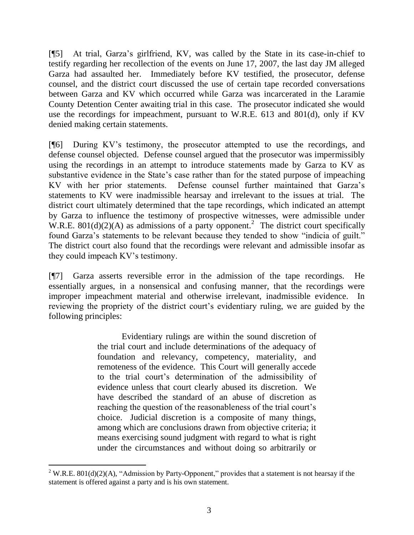[¶5] At trial, Garza"s girlfriend, KV, was called by the State in its case-in-chief to testify regarding her recollection of the events on June 17, 2007, the last day JM alleged Garza had assaulted her. Immediately before KV testified, the prosecutor, defense counsel, and the district court discussed the use of certain tape recorded conversations between Garza and KV which occurred while Garza was incarcerated in the Laramie County Detention Center awaiting trial in this case. The prosecutor indicated she would use the recordings for impeachment, pursuant to W.R.E. 613 and 801(d), only if KV denied making certain statements.

[¶6] During KV"s testimony, the prosecutor attempted to use the recordings, and defense counsel objected. Defense counsel argued that the prosecutor was impermissibly using the recordings in an attempt to introduce statements made by Garza to KV as substantive evidence in the State's case rather than for the stated purpose of impeaching KV with her prior statements. Defense counsel further maintained that Garza"s statements to KV were inadmissible hearsay and irrelevant to the issues at trial. The district court ultimately determined that the tape recordings, which indicated an attempt by Garza to influence the testimony of prospective witnesses, were admissible under W.R.E.  $801(d)(2)(A)$  as admissions of a party opponent.<sup>2</sup> The district court specifically found Garza"s statements to be relevant because they tended to show "indicia of guilt." The district court also found that the recordings were relevant and admissible insofar as they could impeach KV"s testimony.

[¶7] Garza asserts reversible error in the admission of the tape recordings. He essentially argues, in a nonsensical and confusing manner, that the recordings were improper impeachment material and otherwise irrelevant, inadmissible evidence. In reviewing the propriety of the district court's evidentiary ruling, we are guided by the following principles:

> Evidentiary rulings are within the sound discretion of the trial court and include determinations of the adequacy of foundation and relevancy, competency, materiality, and remoteness of the evidence. This Court will generally accede to the trial court"s determination of the admissibility of evidence unless that court clearly abused its discretion. We have described the standard of an abuse of discretion as reaching the question of the reasonableness of the trial court's choice. Judicial discretion is a composite of many things, among which are conclusions drawn from objective criteria; it means exercising sound judgment with regard to what is right under the circumstances and without doing so arbitrarily or

 $\overline{a}$ 

<sup>&</sup>lt;sup>2</sup> W.R.E. 801(d)(2)(A), "Admission by Party-Opponent," provides that a statement is not hearsay if the statement is offered against a party and is his own statement.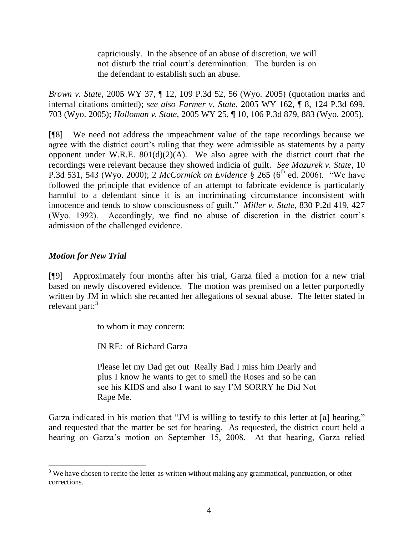capriciously. In the absence of an abuse of discretion, we will not disturb the trial court's determination. The burden is on the defendant to establish such an abuse.

*Brown v. State*, 2005 WY 37, ¶ 12, 109 P.3d 52, 56 (Wyo. 2005) (quotation marks and internal citations omitted); *see also Farmer v. State*, 2005 WY 162, ¶ 8, 124 P.3d 699, 703 (Wyo. 2005); *Holloman v. State*, 2005 WY 25, ¶ 10, 106 P.3d 879, 883 (Wyo. 2005).

[¶8] We need not address the impeachment value of the tape recordings because we agree with the district court's ruling that they were admissible as statements by a party opponent under W.R.E.  $801(d)(2)(A)$ . We also agree with the district court that the recordings were relevant because they showed indicia of guilt. *See Mazurek v. State*, 10 P.3d 531, 543 (Wyo. 2000); 2 *McCormick on Evidence* § 265 ( $6^{\text{th}}$  ed. 2006). "We have followed the principle that evidence of an attempt to fabricate evidence is particularly harmful to a defendant since it is an incriminating circumstance inconsistent with innocence and tends to show consciousness of guilt." *Miller v. State*, 830 P.2d 419, 427 (Wyo. 1992). Accordingly, we find no abuse of discretion in the district court"s admission of the challenged evidence.

# *Motion for New Trial*

 $\overline{a}$ 

[¶9] Approximately four months after his trial, Garza filed a motion for a new trial based on newly discovered evidence. The motion was premised on a letter purportedly written by JM in which she recanted her allegations of sexual abuse. The letter stated in relevant part: $3<sup>3</sup>$ 

to whom it may concern:

IN RE: of Richard Garza

Please let my Dad get out Really Bad I miss him Dearly and plus I know he wants to get to smell the Roses and so he can see his KIDS and also I want to say I"M SORRY he Did Not Rape Me.

Garza indicated in his motion that "JM is willing to testify to this letter at [a] hearing," and requested that the matter be set for hearing. As requested, the district court held a hearing on Garza"s motion on September 15, 2008. At that hearing, Garza relied

 $3$  We have chosen to recite the letter as written without making any grammatical, punctuation, or other corrections.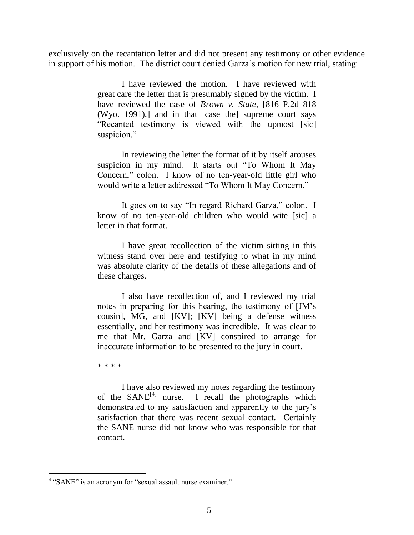exclusively on the recantation letter and did not present any testimony or other evidence in support of his motion. The district court denied Garza"s motion for new trial, stating:

> I have reviewed the motion. I have reviewed with great care the letter that is presumably signed by the victim. I have reviewed the case of *Brown v. State*, [816 P.2d 818 (Wyo. 1991),] and in that [case the] supreme court says "Recanted testimony is viewed with the upmost [sic] suspicion."

> In reviewing the letter the format of it by itself arouses suspicion in my mind. It starts out "To Whom It May Concern," colon. I know of no ten-year-old little girl who would write a letter addressed "To Whom It May Concern."

> It goes on to say "In regard Richard Garza," colon. I know of no ten-year-old children who would wite [sic] a letter in that format.

> I have great recollection of the victim sitting in this witness stand over here and testifying to what in my mind was absolute clarity of the details of these allegations and of these charges.

> I also have recollection of, and I reviewed my trial notes in preparing for this hearing, the testimony of [JM"s cousin], MG, and [KV]; [KV] being a defense witness essentially, and her testimony was incredible. It was clear to me that Mr. Garza and [KV] conspired to arrange for inaccurate information to be presented to the jury in court.

\* \* \* \*

 $\overline{a}$ 

I have also reviewed my notes regarding the testimony of the SANE<sup>[4]</sup> nurse. I recall the photographs which demonstrated to my satisfaction and apparently to the jury"s satisfaction that there was recent sexual contact. Certainly the SANE nurse did not know who was responsible for that contact.

<sup>&</sup>lt;sup>4</sup> "SANE" is an acronym for "sexual assault nurse examiner."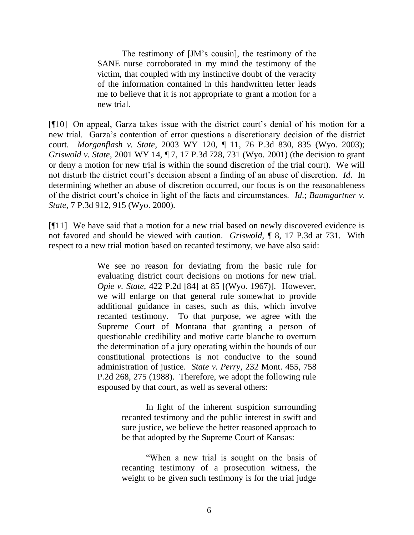The testimony of [JM"s cousin], the testimony of the SANE nurse corroborated in my mind the testimony of the victim, that coupled with my instinctive doubt of the veracity of the information contained in this handwritten letter leads me to believe that it is not appropriate to grant a motion for a new trial.

[¶10] On appeal, Garza takes issue with the district court's denial of his motion for a new trial. Garza"s contention of error questions a discretionary decision of the district court. *Morganflash v. State*, 2003 WY 120, ¶ 11, 76 P.3d 830, 835 (Wyo. 2003); *Griswold v. State*, 2001 WY 14, ¶ 7, 17 P.3d 728, 731 (Wyo. 2001) (the decision to grant or deny a motion for new trial is within the sound discretion of the trial court). We will not disturb the district court's decision absent a finding of an abuse of discretion. *Id*. In determining whether an abuse of discretion occurred, our focus is on the reasonableness of the district court's choice in light of the facts and circumstances. *Id.*; *Baumgartner v. State*, 7 P.3d 912, 915 (Wyo. 2000).

[¶11] We have said that a motion for a new trial based on newly discovered evidence is not favored and should be viewed with caution. *Griswold*, ¶ 8, 17 P.3d at 731. With respect to a new trial motion based on recanted testimony, we have also said:

> We see no reason for deviating from the basic rule for evaluating district court decisions on motions for new trial. *Opie v. State,* 422 P.2d [84] at 85 [(Wyo. 1967)]. However, we will enlarge on that general rule somewhat to provide additional guidance in cases, such as this, which involve recanted testimony. To that purpose, we agree with the Supreme Court of Montana that granting a person of questionable credibility and motive carte blanche to overturn the determination of a jury operating within the bounds of our constitutional protections is not conducive to the sound administration of justice. *State v. Perry,* 232 Mont. 455, 758 P.2d 268, 275 (1988). Therefore, we adopt the following rule espoused by that court, as well as several others:

> > In light of the inherent suspicion surrounding recanted testimony and the public interest in swift and sure justice, we believe the better reasoned approach to be that adopted by the Supreme Court of Kansas:

> > "When a new trial is sought on the basis of recanting testimony of a prosecution witness, the weight to be given such testimony is for the trial judge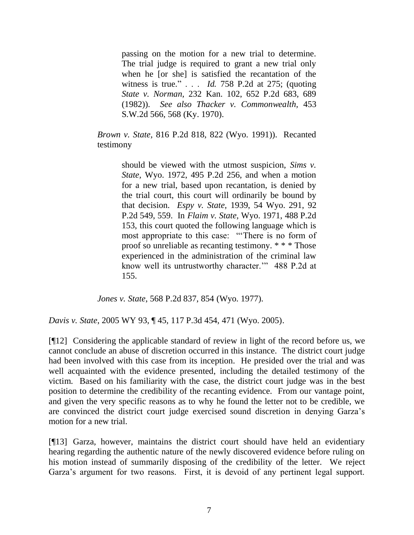passing on the motion for a new trial to determine. The trial judge is required to grant a new trial only when he [or she] is satisfied the recantation of the witness is true." . . . *Id.* 758 P.2d at 275; (quoting *State v. Norman,* 232 Kan. 102, 652 P.2d 683, 689 (1982)). *See also Thacker v. Commonwealth,* 453 S.W.2d 566, 568 (Ky. 1970).

*Brown v. State,* 816 P.2d 818, 822 (Wyo. 1991)). Recanted testimony

> should be viewed with the utmost suspicion, *Sims v. State,* Wyo. 1972, 495 P.2d 256, and when a motion for a new trial, based upon recantation, is denied by the trial court, this court will ordinarily be bound by that decision. *Espy v. State,* 1939, 54 Wyo. 291, 92 P.2d 549, 559. In *Flaim v. State,* Wyo. 1971, 488 P.2d 153, this court quoted the following language which is most appropriate to this case: ""There is no form of proof so unreliable as recanting testimony. \* \* \* Those experienced in the administration of the criminal law know well its untrustworthy character."" 488 P.2d at 155.

*Jones v. State*, 568 P.2d 837, 854 (Wyo. 1977).

*Davis v. State*, 2005 WY 93, ¶ 45, 117 P.3d 454, 471 (Wyo. 2005).

[¶12] Considering the applicable standard of review in light of the record before us, we cannot conclude an abuse of discretion occurred in this instance. The district court judge had been involved with this case from its inception. He presided over the trial and was well acquainted with the evidence presented, including the detailed testimony of the victim. Based on his familiarity with the case, the district court judge was in the best position to determine the credibility of the recanting evidence. From our vantage point, and given the very specific reasons as to why he found the letter not to be credible, we are convinced the district court judge exercised sound discretion in denying Garza"s motion for a new trial.

[¶13] Garza, however, maintains the district court should have held an evidentiary hearing regarding the authentic nature of the newly discovered evidence before ruling on his motion instead of summarily disposing of the credibility of the letter. We reject Garza"s argument for two reasons. First, it is devoid of any pertinent legal support.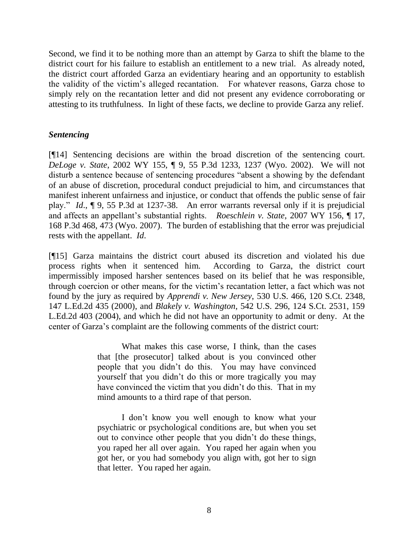Second, we find it to be nothing more than an attempt by Garza to shift the blame to the district court for his failure to establish an entitlement to a new trial. As already noted, the district court afforded Garza an evidentiary hearing and an opportunity to establish the validity of the victim"s alleged recantation. For whatever reasons, Garza chose to simply rely on the recantation letter and did not present any evidence corroborating or attesting to its truthfulness. In light of these facts, we decline to provide Garza any relief.

## *Sentencing*

[¶14] Sentencing decisions are within the broad discretion of the sentencing court. *DeLoge v. State*, 2002 WY 155, ¶ 9, 55 P.3d 1233, 1237 (Wyo. 2002). We will not disturb a sentence because of sentencing procedures "absent a showing by the defendant of an abuse of discretion, procedural conduct prejudicial to him, and circumstances that manifest inherent unfairness and injustice, or conduct that offends the public sense of fair play." *Id*., ¶ 9, 55 P.3d at 1237-38. An error warrants reversal only if it is prejudicial and affects an appellant"s substantial rights. *Roeschlein v. State*, 2007 WY 156, ¶ 17, 168 P.3d 468, 473 (Wyo. 2007). The burden of establishing that the error was prejudicial rests with the appellant. *Id*.

[¶15] Garza maintains the district court abused its discretion and violated his due process rights when it sentenced him. According to Garza, the district court impermissibly imposed harsher sentences based on its belief that he was responsible, through coercion or other means, for the victim"s recantation letter, a fact which was not found by the jury as required by *Apprendi v. New Jersey*, 530 U.S. 466, 120 S.Ct. 2348, 147 L.Ed.2d 435 (2000), and *Blakely v. Washington*, 542 U.S. 296, 124 S.Ct. 2531, 159 L.Ed.2d 403 (2004), and which he did not have an opportunity to admit or deny. At the center of Garza"s complaint are the following comments of the district court:

> What makes this case worse, I think, than the cases that [the prosecutor] talked about is you convinced other people that you didn"t do this. You may have convinced yourself that you didn"t do this or more tragically you may have convinced the victim that you didn't do this. That in my mind amounts to a third rape of that person.

> I don"t know you well enough to know what your psychiatric or psychological conditions are, but when you set out to convince other people that you didn"t do these things, you raped her all over again. You raped her again when you got her, or you had somebody you align with, got her to sign that letter. You raped her again.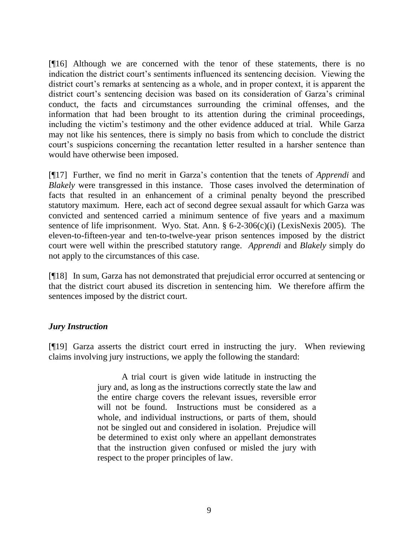[¶16] Although we are concerned with the tenor of these statements, there is no indication the district court's sentiments influenced its sentencing decision. Viewing the district court's remarks at sentencing as a whole, and in proper context, it is apparent the district court's sentencing decision was based on its consideration of Garza's criminal conduct, the facts and circumstances surrounding the criminal offenses, and the information that had been brought to its attention during the criminal proceedings, including the victim"s testimony and the other evidence adduced at trial. While Garza may not like his sentences, there is simply no basis from which to conclude the district court's suspicions concerning the recantation letter resulted in a harsher sentence than would have otherwise been imposed.

[¶17] Further, we find no merit in Garza"s contention that the tenets of *Apprendi* and *Blakely* were transgressed in this instance. Those cases involved the determination of facts that resulted in an enhancement of a criminal penalty beyond the prescribed statutory maximum. Here, each act of second degree sexual assault for which Garza was convicted and sentenced carried a minimum sentence of five years and a maximum sentence of life imprisonment. Wyo. Stat. Ann. § 6-2-306(c)(i) (LexisNexis 2005). The eleven-to-fifteen-year and ten-to-twelve-year prison sentences imposed by the district court were well within the prescribed statutory range. *Apprendi* and *Blakely* simply do not apply to the circumstances of this case.

[¶18] In sum, Garza has not demonstrated that prejudicial error occurred at sentencing or that the district court abused its discretion in sentencing him. We therefore affirm the sentences imposed by the district court.

## *Jury Instruction*

[¶19] Garza asserts the district court erred in instructing the jury. When reviewing claims involving jury instructions, we apply the following the standard:

> A trial court is given wide latitude in instructing the jury and, as long as the instructions correctly state the law and the entire charge covers the relevant issues, reversible error will not be found. Instructions must be considered as a whole, and individual instructions, or parts of them, should not be singled out and considered in isolation. Prejudice will be determined to exist only where an appellant demonstrates that the instruction given confused or misled the jury with respect to the proper principles of law.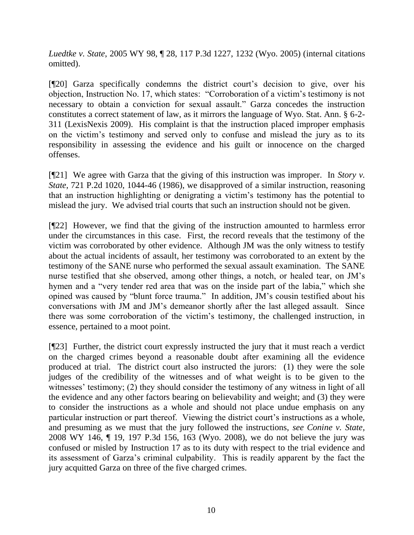*Luedtke v. State*, 2005 WY 98, ¶ 28, 117 P.3d 1227, 1232 (Wyo. 2005) (internal citations omitted).

[¶20] Garza specifically condemns the district court's decision to give, over his objection, Instruction No. 17, which states: "Corroboration of a victim"s testimony is not necessary to obtain a conviction for sexual assault." Garza concedes the instruction constitutes a correct statement of law, as it mirrors the language of Wyo. Stat. Ann. § 6-2- 311 (LexisNexis 2009). His complaint is that the instruction placed improper emphasis on the victim"s testimony and served only to confuse and mislead the jury as to its responsibility in assessing the evidence and his guilt or innocence on the charged offenses.

[¶21] We agree with Garza that the giving of this instruction was improper. In *Story v. State*, 721 P.2d 1020, 1044-46 (1986), we disapproved of a similar instruction, reasoning that an instruction highlighting or denigrating a victim"s testimony has the potential to mislead the jury. We advised trial courts that such an instruction should not be given.

[¶22] However, we find that the giving of the instruction amounted to harmless error under the circumstances in this case. First, the record reveals that the testimony of the victim was corroborated by other evidence. Although JM was the only witness to testify about the actual incidents of assault, her testimony was corroborated to an extent by the testimony of the SANE nurse who performed the sexual assault examination. The SANE nurse testified that she observed, among other things, a notch, or healed tear, on JM"s hymen and a "very tender red area that was on the inside part of the labia," which she opined was caused by "blunt force trauma." In addition, JM"s cousin testified about his conversations with JM and JM"s demeanor shortly after the last alleged assault. Since there was some corroboration of the victim"s testimony, the challenged instruction, in essence, pertained to a moot point.

[¶23] Further, the district court expressly instructed the jury that it must reach a verdict on the charged crimes beyond a reasonable doubt after examining all the evidence produced at trial. The district court also instructed the jurors: (1) they were the sole judges of the credibility of the witnesses and of what weight is to be given to the witnesses' testimony; (2) they should consider the testimony of any witness in light of all the evidence and any other factors bearing on believability and weight; and (3) they were to consider the instructions as a whole and should not place undue emphasis on any particular instruction or part thereof. Viewing the district court's instructions as a whole, and presuming as we must that the jury followed the instructions, *see Conine v. State*, 2008 WY 146, ¶ 19, 197 P.3d 156, 163 (Wyo. 2008), we do not believe the jury was confused or misled by Instruction 17 as to its duty with respect to the trial evidence and its assessment of Garza"s criminal culpability. This is readily apparent by the fact the jury acquitted Garza on three of the five charged crimes.